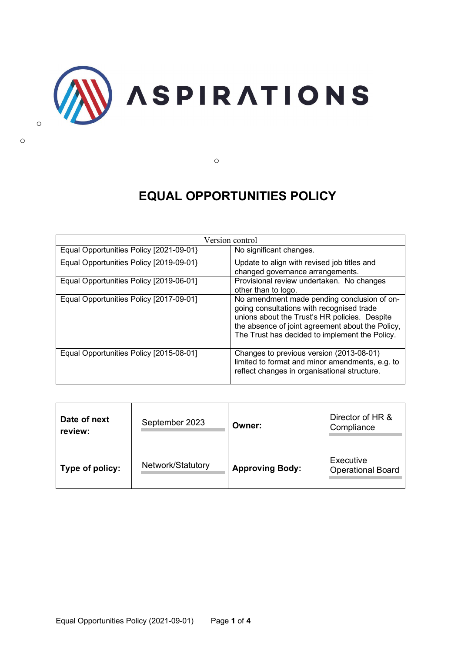

o

# **EQUAL OPPORTUNITIES POLICY**

| Version control                         |                                                                                                                                                                                                                                                 |  |
|-----------------------------------------|-------------------------------------------------------------------------------------------------------------------------------------------------------------------------------------------------------------------------------------------------|--|
| Equal Opportunities Policy [2021-09-01] | No significant changes.                                                                                                                                                                                                                         |  |
| Equal Opportunities Policy [2019-09-01] | Update to align with revised job titles and<br>changed governance arrangements.                                                                                                                                                                 |  |
| Equal Opportunities Policy [2019-06-01] | Provisional review undertaken. No changes<br>other than to logo.                                                                                                                                                                                |  |
| Equal Opportunities Policy [2017-09-01] | No amendment made pending conclusion of on-<br>going consultations with recognised trade<br>unions about the Trust's HR policies. Despite<br>the absence of joint agreement about the Policy,<br>The Trust has decided to implement the Policy. |  |
| Equal Opportunities Policy [2015-08-01] | Changes to previous version (2013-08-01)<br>limited to format and minor amendments, e.g. to<br>reflect changes in organisational structure.                                                                                                     |  |

| Date of next<br>review: | September 2023    | Owner:                 | Director of HR &<br>Compliance        |
|-------------------------|-------------------|------------------------|---------------------------------------|
| Type of policy:         | Network/Statutory | <b>Approving Body:</b> | Executive<br><b>Operational Board</b> |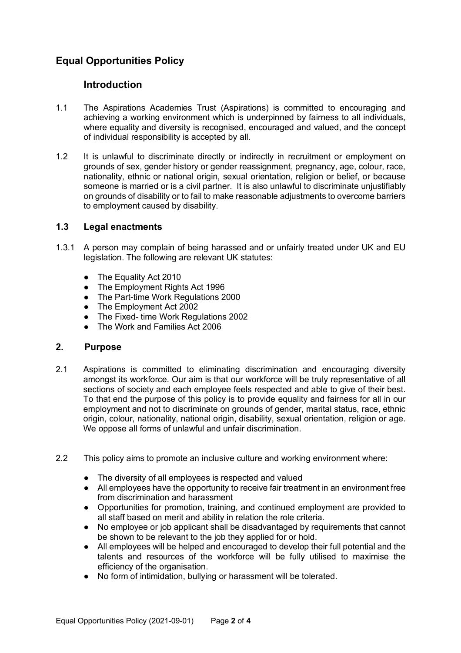# **Equal Opportunities Policy**

# **Introduction**

- 1.1 The Aspirations Academies Trust (Aspirations) is committed to encouraging and achieving a working environment which is underpinned by fairness to all individuals, where equality and diversity is recognised, encouraged and valued, and the concept of individual responsibility is accepted by all.
- 1.2 It is unlawful to discriminate directly or indirectly in recruitment or employment on grounds of sex, gender history or gender reassignment, pregnancy, age, colour, race, nationality, ethnic or national origin, sexual orientation, religion or belief, or because someone is married or is a civil partner. It is also unlawful to discriminate unjustifiably on grounds of disability or to fail to make reasonable adjustments to overcome barriers to employment caused by disability.

#### **1.3 Legal enactments**

- 1.3.1 A person may complain of being harassed and or unfairly treated under UK and EU legislation. The following are relevant UK statutes:
	- The Equality Act 2010
	- The Employment Rights Act 1996
	- The Part-time Work Regulations 2000
	- The Employment Act 2002
	- The Fixed- time Work Regulations 2002
	- The Work and Families Act 2006

#### **2. Purpose**

- 2.1 Aspirations is committed to eliminating discrimination and encouraging diversity amongst its workforce. Our aim is that our workforce will be truly representative of all sections of society and each employee feels respected and able to give of their best. To that end the purpose of this policy is to provide equality and fairness for all in our employment and not to discriminate on grounds of gender, marital status, race, ethnic origin, colour, nationality, national origin, disability, sexual orientation, religion or age. We oppose all forms of unlawful and unfair discrimination.
- 2.2 This policy aims to promote an inclusive culture and working environment where:
	- The diversity of all employees is respected and valued
	- All employees have the opportunity to receive fair treatment in an environment free from discrimination and harassment
	- Opportunities for promotion, training, and continued employment are provided to all staff based on merit and ability in relation the role criteria.
	- No employee or job applicant shall be disadvantaged by requirements that cannot be shown to be relevant to the job they applied for or hold.
	- All employees will be helped and encouraged to develop their full potential and the talents and resources of the workforce will be fully utilised to maximise the efficiency of the organisation.
	- No form of intimidation, bullying or harassment will be tolerated.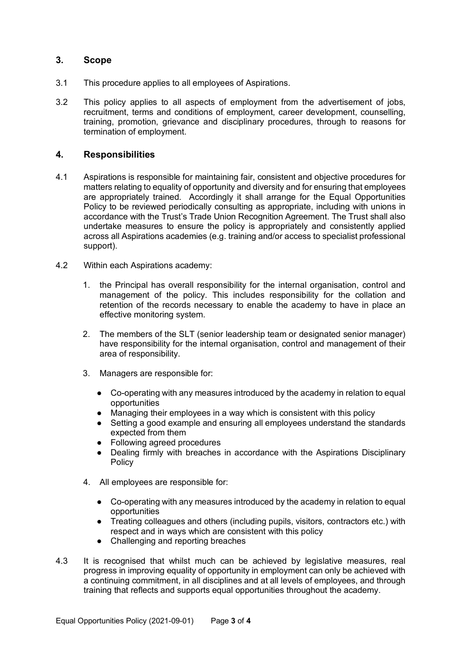## **3. Scope**

- 3.1 This procedure applies to all employees of Aspirations.
- 3.2 This policy applies to all aspects of employment from the advertisement of jobs, recruitment, terms and conditions of employment, career development, counselling, training, promotion, grievance and disciplinary procedures, through to reasons for termination of employment.

#### **4. Responsibilities**

- 4.1 Aspirations is responsible for maintaining fair, consistent and objective procedures for matters relating to equality of opportunity and diversity and for ensuring that employees are appropriately trained. Accordingly it shall arrange for the Equal Opportunities Policy to be reviewed periodically consulting as appropriate, including with unions in accordance with the Trust's Trade Union Recognition Agreement. The Trust shall also undertake measures to ensure the policy is appropriately and consistently applied across all Aspirations academies (e.g. training and/or access to specialist professional support).
- 4.2 Within each Aspirations academy:
	- 1. the Principal has overall responsibility for the internal organisation, control and management of the policy. This includes responsibility for the collation and retention of the records necessary to enable the academy to have in place an effective monitoring system.
	- 2. The members of the SLT (senior leadership team or designated senior manager) have responsibility for the internal organisation, control and management of their area of responsibility.
	- 3. Managers are responsible for:
		- Co-operating with any measures introduced by the academy in relation to equal opportunities
		- Managing their employees in a way which is consistent with this policy
		- Setting a good example and ensuring all employees understand the standards expected from them
		- Following agreed procedures
		- Dealing firmly with breaches in accordance with the Aspirations Disciplinary Policy
	- 4. All employees are responsible for:
		- Co-operating with any measures introduced by the academy in relation to equal opportunities
		- Treating colleagues and others (including pupils, visitors, contractors etc.) with respect and in ways which are consistent with this policy
		- Challenging and reporting breaches
- 4.3 It is recognised that whilst much can be achieved by legislative measures, real progress in improving equality of opportunity in employment can only be achieved with a continuing commitment, in all disciplines and at all levels of employees, and through training that reflects and supports equal opportunities throughout the academy.